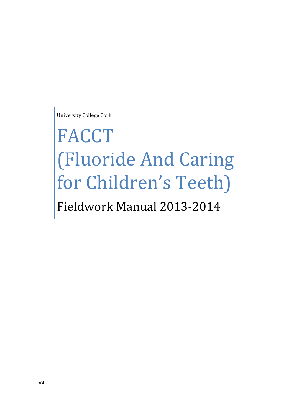University College Cork

# FACCT (Fluoride And Caring for Children's Teeth) Fieldwork Manual 2013-2014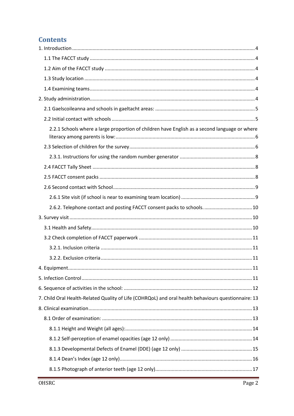# **Contents**

| 2.2.1 Schools where a large proportion of children have English as a second language or where       |
|-----------------------------------------------------------------------------------------------------|
|                                                                                                     |
|                                                                                                     |
|                                                                                                     |
|                                                                                                     |
|                                                                                                     |
|                                                                                                     |
| 2.6.2. Telephone contact and posting FACCT consent packs to schools 10                              |
|                                                                                                     |
|                                                                                                     |
|                                                                                                     |
|                                                                                                     |
|                                                                                                     |
|                                                                                                     |
|                                                                                                     |
|                                                                                                     |
| 7. Child Oral Health-Related Quality of Life (COHRQoL) and oral health behaviours questionnaire: 13 |
|                                                                                                     |
|                                                                                                     |
|                                                                                                     |
|                                                                                                     |
|                                                                                                     |
|                                                                                                     |
|                                                                                                     |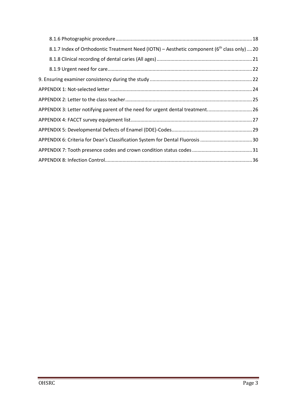| 8.1.7 Index of Orthodontic Treatment Need (IOTN) – Aesthetic component ( $6th$ class only)  20 |  |
|------------------------------------------------------------------------------------------------|--|
|                                                                                                |  |
|                                                                                                |  |
|                                                                                                |  |
|                                                                                                |  |
|                                                                                                |  |
| APPENDIX 3: Letter notifying parent of the need for urgent dental treatment26                  |  |
|                                                                                                |  |
|                                                                                                |  |
|                                                                                                |  |
|                                                                                                |  |
|                                                                                                |  |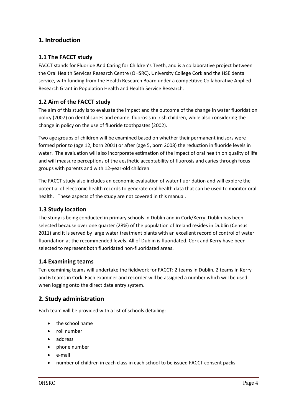# <span id="page-3-0"></span>**1. Introduction**

## <span id="page-3-1"></span>**1.1 The FACCT study**

FACCT stands for **F**luoride **A**nd **C**aring for **C**hildren's **T**eeth, and is a collaborative project between the Oral Health Services Research Centre (OHSRC), University College Cork and the HSE dental service, with funding from the Health Research Board under a competitive Collaborative Applied Research Grant in Population Health and Health Service Research.

## <span id="page-3-2"></span>**1.2 Aim of the FACCT study**

The aim of this study is to evaluate the impact and the outcome of the change in water fluoridation policy (2007) on dental caries and enamel fluorosis in Irish children, while also considering the change in policy on the use of fluoride toothpastes (2002).

Two age groups of children will be examined based on whether their permanent incisors were formed prior to (age 12, born 2001) or after (age 5, born 2008) the reduction in fluoride levels in water. The evaluation will also incorporate estimation of the impact of oral health on quality of life and will measure perceptions of the aesthetic acceptability of fluorosis and caries through focus groups with parents and with 12-year-old children.

The FACCT study also includes an economic evaluation of water fluoridation and will explore the potential of electronic health records to generate oral health data that can be used to monitor oral health. These aspects of the study are not covered in this manual.

#### <span id="page-3-3"></span>**1.3 Study location**

The study is being conducted in primary schools in Dublin and in Cork/Kerry. Dublin has been selected because over one quarter (28%) of the population of Ireland resides in Dublin (Census 2011) and it is served by large water treatment plants with an excellent record of control of water fluoridation at the recommended levels. All of Dublin is fluoridated. Cork and Kerry have been selected to represent both fluoridated non-fluoridated areas.

#### <span id="page-3-4"></span>**1.4 Examining teams**

Ten examining teams will undertake the fieldwork for FACCT: 2 teams in Dublin, 2 teams in Kerry and 6 teams in Cork. Each examiner and recorder will be assigned a number which will be used when logging onto the direct data entry system.

#### <span id="page-3-5"></span>**2. Study administration**

Each team will be provided with a list of schools detailing:

- the school name
- roll number
- address
- phone number
- e-mail
- number of children in each class in each school to be issued FACCT consent packs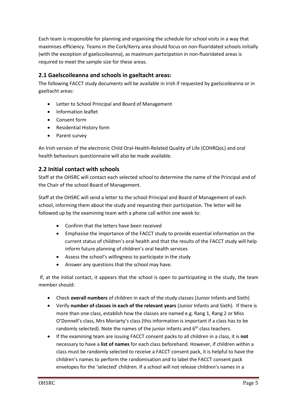Each team is responsible for planning and organising the schedule for school visits in a way that maximises efficiency. Teams in the Cork/Kerry area should focus on non-fluoridated schools initially (with the exception of gaelscoileanna), as maximum participation in non-fluoridated areas is required to meet the sample size for these areas.

## <span id="page-4-0"></span>**2.1 Gaelscoileanna and schools in gaeltacht areas:**

The following FACCT study documents will be available in Irish if requested by gaelscoileanna or in gaeltacht areas:

- Letter to School Principal and Board of Management
- Information leaflet
- Consent form
- Residential History form
- Parent survey

An Irish version of the electronic Child Oral-Health-Related Quality of Life (COHRQoL) and oral health behaviours questionnaire will also be made available.

## <span id="page-4-1"></span>**2.2 Initial contact with schools**

Staff at the OHSRC will contact each selected school to determine the name of the Principal and of the Chair of the school Board of Management.

Staff at the OHSRC will send a letter to the school Principal and Board of Management of each school, informing them about the study and requesting their participation. The letter will be followed up by the examining team with a phone call within one week to:

- Confirm that the letters have been received
- Emphasise the importance of the FACCT study to provide essential information on the current status of children's oral health and that the results of the FACCT study will help inform future planning of children's oral health services
- Assess the school's willingness to participate in the study
- Answer any questions that the school may have.

If, at the initial contact, it appears that the school is open to participating in the study, the team member should:

- Check **overall numbers** of children in each of the study classes (Junior Infants and Sixth)
- Verify **number of classes in each of the relevant years** (Junior Infants and Sixth). If there is more than one class, establish how the classes are named e.g. Rang 1, Rang 2 or Miss O'Donnell's class, Mrs Moriarty's class (this information is important if a class has to be randomly selected). Note the names of the junior infants and  $6<sup>th</sup>$  class teachers.
- If the examining team are issuing FACCT consent packs to all children in a class, it is **not** necessary to have a **list of names** for each class beforehand. However, if children within a class must be randomly selected to receive a FACCT consent pack, it is helpful to have the children's names to perform the randomisation and to label the FACCT consent pack envelopes for the 'selected' children. If a school will not release children's names in a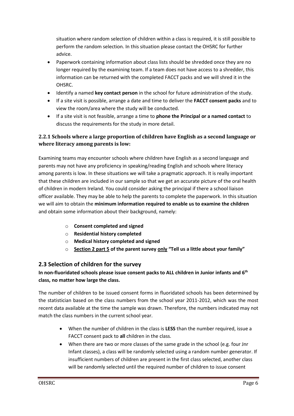situation where random selection of children within a class is required, it is still possible to perform the random selection. In this situation please contact the OHSRC for further advice.

- Paperwork containing information about class lists should be shredded once they are no longer required by the examining team. If a team does not have access to a shredder, this information can be returned with the completed FACCT packs and we will shred it in the OHSRC.
- Identify a named **key contact person** in the school for future administration of the study.
- If a site visit is possible, arrange a date and time to deliver the **FACCT consent packs** and to view the room/area where the study will be conducted.
- If a site visit is not feasible, arrange a time to **phone the Principal or a named contact** to discuss the requirements for the study in more detail.

# <span id="page-5-0"></span>**2.2.1 Schools where a large proportion of children have English as a second language or where literacy among parents is low:**

Examining teams may encounter schools where children have English as a second language and parents may not have any proficiency in speaking/reading English and schools where literacy among parents is low. In these situations we will take a pragmatic approach. It is really important that these children are included in our sample so that we get an accurate picture of the oral health of children in modern Ireland. You could consider asking the principal if there a school liaison officer available. They may be able to help the parents to complete the paperwork. In this situation we will aim to obtain the **minimum information required to enable us to examine the children** and obtain some information about their background, namely:

- o **Consent completed and signed**
- o **Residential history completed**
- o **Medical history completed and signed**
- o **Section 2 part 5 of the parent survey only "Tell us a little about your family"**

# <span id="page-5-1"></span>**2.3 Selection of children for the survey**

#### **In non-fluoridated schools please issue consent packs to ALL children in Junior infants and 6th class, no matter how large the class.**

The number of children to be issued consent forms in fluoridated schools has been determined by the statistician based on the class numbers from the school year 2011-2012, which was the most recent data available at the time the sample was drawn. Therefore, the numbers indicated may not match the class numbers in the current school year.

- When the number of children in the class is **LESS** than the number required, issue a FACCT consent pack to **all** children in the class.
- When there are two or more classes of the same grade in the school (e.g. four Jnr Infant classes), a class will be randomly selected using a random number generator. If insufficient numbers of children are present in the first class selected, another class will be randomly selected until the required number of children to issue consent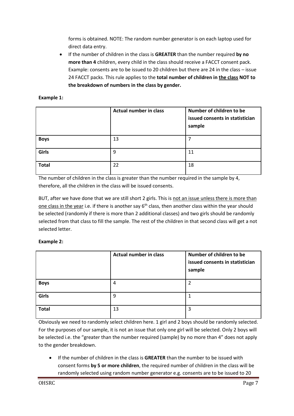forms is obtained. NOTE: The random number generator is on each laptop used for direct data entry.

 If the number of children in the class is **GREATER** than the number required **by no more than 4** children, every child in the class should receive a FACCT consent pack. Example: consents are to be issued to 20 children but there are 24 in the class – issue 24 FACCT packs. This rule applies to the **total number of children in the class NOT to the breakdown of numbers in the class by gender.**

#### **Example 1:**

|              | <b>Actual number in class</b> | Number of children to be<br>issued consents in statistician<br>sample |
|--------------|-------------------------------|-----------------------------------------------------------------------|
| <b>Boys</b>  | 13                            |                                                                       |
| Girls        | 9                             | 11                                                                    |
| <b>Total</b> | 22                            | 18                                                                    |

The number of children in the class is greater than the number required in the sample by 4, therefore, all the children in the class will be issued consents.

BUT, after we have done that we are still short 2 girls. This is not an issue unless there is more than one class in the year i.e. if there is another say  $6<sup>th</sup>$  class, then another class within the year should be selected (randomly if there is more than 2 additional classes) and two girls should be randomly selected from that class to fill the sample. The rest of the children in that second class will get a not selected letter.

#### **Example 2:**

|              | <b>Actual number in class</b> | Number of children to be<br>issued consents in statistician<br>sample |
|--------------|-------------------------------|-----------------------------------------------------------------------|
| <b>Boys</b>  | 4                             |                                                                       |
| Girls        | 9                             |                                                                       |
| <b>Total</b> | 13                            | 3                                                                     |

Obviously we need to randomly select children here. 1 girl and 2 boys should be randomly selected. For the purposes of our sample, it is not an issue that only one girl will be selected. Only 2 boys will be selected i.e. the "greater than the number required (sample) by no more than 4" does not apply to the gender breakdown.

 If the number of children in the class is **GREATER** than the number to be issued with consent forms **by 5 or more children**, the required number of children in the class will be randomly selected using random number generator e.g. consents are to be issued to 20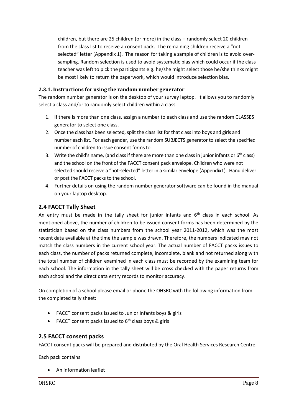children, but there are 25 children (or more) in the class – randomly select 20 children from the class list to receive a consent pack. The remaining children receive a "not selected" letter (Appendix 1). The reason for taking a sample of children is to avoid oversampling. Random selection is used to avoid systematic bias which could occur if the class teacher was left to pick the participants e.g. he/she might select those he/she thinks might be most likely to return the paperwork, which would introduce selection bias.

#### <span id="page-7-0"></span>**2.3.1. Instructions for using the random number generator**

The random number generator is on the desktop of your survey laptop. It allows you to randomly select a class and/or to randomly select children within a class.

- 1. If there is more than one class, assign a number to each class and use the random CLASSES generator to select one class.
- 2. Once the class has been selected, split the class list for that class into boys and girls and number each list. For each gender, use the random SUBJECTS generator to select the specified number of children to issue consent forms to.
- 3. Write the child's name, (and class if there are more than one class in junior infants or  $6<sup>th</sup>$  class) and the school on the front of the FACCT consent pack envelope. Children who were not selected should receive a "not-selected" letter in a similar envelope (Appendix1). Hand deliver or post the FACCT packs to the school.
- 4. Further details on using the random number generator software can be found in the manual on your laptop desktop.

#### <span id="page-7-1"></span>**2.4 FACCT Tally Sheet**

An entry must be made in the tally sheet for junior infants and  $6<sup>th</sup>$  class in each school. As mentioned above, the number of children to be issued consent forms has been determined by the statistician based on the class numbers from the school year 2011-2012, which was the most recent data available at the time the sample was drawn. Therefore, the numbers indicated may not match the class numbers in the current school year. The actual number of FACCT packs issues to each class, the number of packs returned complete, incomplete, blank and not returned along with the total number of children examined in each class must be recorded by the examining team for each school. The information in the tally sheet will be cross checked with the paper returns from each school and the direct data entry records to monitor accuracy.

On completion of a school please email or phone the OHSRC with the following information from the completed tally sheet:

- FACCT consent packs issued to Junior Infants boys & girls
- FACCT consent packs issued to  $6<sup>th</sup>$  class boys & girls

#### <span id="page-7-2"></span>**2.5 FACCT consent packs**

FACCT consent packs will be prepared and distributed by the Oral Health Services Research Centre.

Each pack contains

An information leaflet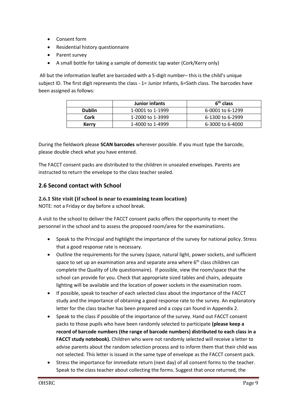- Consent form
- Residential history questionnaire
- Parent survey
- A small bottle for taking a sample of domestic tap water (Cork/Kerry only)

All but the information leaflet are barcoded with a 5-digit number– this is the child's unique subject ID. The first digit represents the class - 1= Junior Infants, 6=Sixth class. The barcodes have been assigned as follows:

|                          | Junior infants   | 6 <sup>th</sup> class |
|--------------------------|------------------|-----------------------|
| <b>Dublin</b>            | 1-0001 to 1-1999 | 6-0001 to 6-1299      |
| Cork<br>1-2000 to 1-3999 |                  | 6-1300 to 6-2999      |
| Kerry                    | 1-4000 to 1-4999 | 6-3000 to 6-4000      |

During the fieldwork please **SCAN barcodes** wherever possible. If you must type the barcode, please double check what you have entered.

The FACCT consent packs are distributed to the children in unsealed envelopes. Parents are instructed to return the envelope to the class teacher sealed.

# <span id="page-8-0"></span>**2.6 Second contact with School**

#### <span id="page-8-1"></span>**2.6.1 Site visit (if school is near to examining team location)**

NOTE: not a Friday or day before a school break.

A visit to the school to deliver the FACCT consent packs offers the opportunity to meet the personnel in the school and to assess the proposed room/area for the examinations.

- Speak to the Principal and highlight the importance of the survey for national policy. Stress that a good response rate is necessary.
- Outline the requirements for the survey (space, natural light, power sockets, and sufficient space to set up an examination area and separate area where  $6<sup>th</sup>$  class children can complete the Quality of Life questionnaire). If possible, view the room/space that the school can provide for you. Check that appropriate sized tables and chairs, adequate lighting will be available and the location of power sockets in the examination room.
- If possible, speak to teacher of each selected class about the importance of the FACCT study and the importance of obtaining a good response rate to the survey. An explanatory letter for the class teacher has been prepared and a copy can found in Appendix 2.
- Speak to the class if possible of the importance of the survey. Hand out FACCT consent packs to those pupils who have been randomly selected to participate **(please keep a record of barcode numbers (the range of barcode numbers) distributed to each class in a FACCT study notebook).** Children who were not randomly selected will receive a letter to advise parents about the random selection process and to inform them that their child was not selected. This letter is issued in the same type of envelope as the FACCT consent pack.
- Stress the importance for immediate return (next day) of all consent forms to the teacher. Speak to the class teacher about collecting the forms. Suggest that once returned, the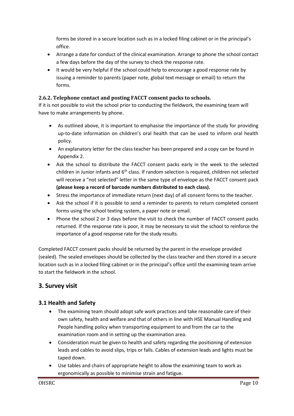forms be stored in a secure location such as in a locked filing cabinet or in the principal's office.

- Arrange a date for conduct of the clinical examination. Arrange to phone the school contact a few days before the day of the survey to check the response rate.
- It would be very helpful if the school could help to encourage a good response rate by issuing a reminder to parents (paper note, global text message or email) to return the forms.

#### <span id="page-9-0"></span>**2.6.2. Telephone contact and posting FACCT consent packs to schools.**

If it is not possible to visit the school prior to conducting the fieldwork, the examining team will have to make arrangements by phone.

- As outlined above, it is important to emphasise the importance of the study for providing up-to-date information on children's oral health that can be used to inform oral health policy.
- An explanatory letter for the class teacher has been prepared and a copy can be found in Appendix 2.
- Ask the school to distribute the FACCT consent packs early in the week to the selected children in Junior infants and  $6<sup>th</sup>$  class. If random selection is required, children not selected will receive a "not selected" letter in the same type of envelope as the FACCT consent pack **(please keep a record of barcode numbers distributed to each class).**
- Stress the importance of immediate return (next day) of all consent forms to the teacher.
- Ask the school if it is possible to send a reminder to parents to return completed consent forms using the school texting system, a paper note or email.
- Phone the school 2 or 3 days before the visit to check the number of FACCT consent packs returned. If the response rate is poor, it may be necessary to visit the school to reinforce the importance of a good response rate for the study results.

Completed FACCT consent packs should be returned by the parent in the envelope provided (sealed). The sealed envelopes should be collected by the class teacher and then stored in a secure location such as in a locked filing cabinet or in the principal's office until the examining team arrive to start the fieldwork in the school.

# <span id="page-9-1"></span>**3. Survey visit**

# <span id="page-9-2"></span>**3.1 Health and Safety**

- The examining team should adopt safe work practices and take reasonable care of their own safety, health and welfare and that of others in line with HSE Manual Handling and People handling policy when transporting equipment to and from the car to the examination room and in setting up the examination area.
- Consideration must be given to health and safety regarding the positioning of extension leads and cables to avoid slips, trips or falls. Cables of extension leads and lights must be taped down.
- Use tables and chairs of appropriate height to allow the examining team to work as ergonomically as possible to minimise strain and fatigue.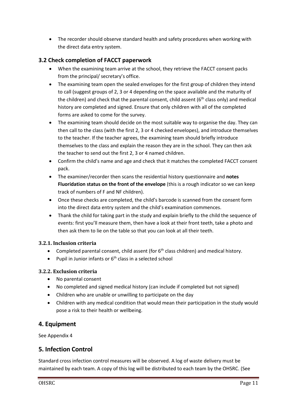The recorder should observe standard health and safety procedures when working with the direct data entry system.

# <span id="page-10-0"></span>**3.2 Check completion of FACCT paperwork**

- When the examining team arrive at the school, they retrieve the FACCT consent packs from the principal/ secretary's office.
- The examining team open the sealed envelopes for the first group of children they intend to call (suggest groups of 2, 3 or 4 depending on the space available and the maturity of the children) and check that the parental consent, child assent ( $6<sup>th</sup>$  class only) and medical history are completed and signed. Ensure that only children with all of the completed forms are asked to come for the survey.
- The examining team should decide on the most suitable way to organise the day. They can then call to the class (with the first 2, 3 or 4 checked envelopes), and introduce themselves to the teacher. If the teacher agrees, the examining team should briefly introduce themselves to the class and explain the reason they are in the school. They can then ask the teacher to send out the first 2, 3 or 4 named children.
- Confirm the child's name and age and check that it matches the completed FACCT consent pack.
- The examiner/recorder then scans the residential history questionnaire and **notes Fluoridation status on the front of the envelope** (this is a rough indicator so we can keep track of numbers of F and NF children).
- Once these checks are completed, the child's barcode is scanned from the consent form into the direct data entry system and the child's examination commences.
- Thank the child for taking part in the study and explain briefly to the child the sequence of events: first you'll measure them, then have a look at their front teeth, take a photo and then ask them to lie on the table so that you can look at all their teeth.

# <span id="page-10-1"></span>**3.2.1. Inclusion criteria**

- Completed parental consent, child assent (for  $6<sup>th</sup>$  class children) and medical history.
- Pupil in Junior infants or  $6<sup>th</sup>$  class in a selected school

# <span id="page-10-2"></span>**3.2.2. Exclusion criteria**

- No parental consent
- No completed and signed medical history (can include if completed but not signed)
- Children who are unable or unwilling to participate on the day
- Children with any medical condition that would mean their participation in the study would pose a risk to their health or wellbeing.

# <span id="page-10-3"></span>**4. Equipment**

See Appendix 4

# <span id="page-10-4"></span>**5. Infection Control**

Standard cross infection control measures will be observed. A log of waste delivery must be maintained by each team. A copy of this log will be distributed to each team by the OHSRC. (See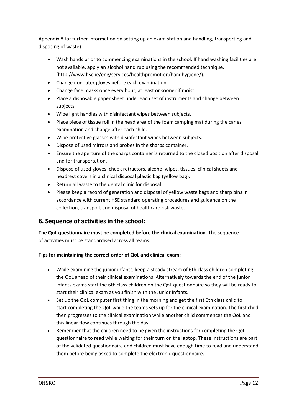Appendix 8 for further Information on setting up an exam station and handling, transporting and disposing of waste)

- Wash hands prior to commencing examinations in the school. If hand washing facilities are not available, apply an alcohol hand rub using the recommended technique. (http://www.hse.ie/eng/services/healthpromotion/handhygiene/).
- Change non-latex gloves before each examination.
- Change face masks once every hour, at least or sooner if moist.
- Place a disposable paper sheet under each set of instruments and change between subjects.
- Wipe light handles with disinfectant wipes between subjects.
- Place piece of tissue roll in the head area of the foam camping mat during the caries examination and change after each child.
- Wipe protective glasses with disinfectant wipes between subjects.
- Dispose of used mirrors and probes in the sharps container.
- Ensure the aperture of the sharps container is returned to the closed position after disposal and for transportation.
- Dispose of used gloves, cheek retractors, alcohol wipes, tissues, clinical sheets and headrest covers in a clinical disposal plastic bag (yellow bag).
- Return all waste to the dental clinic for disposal.
- Please keep a record of generation and disposal of yellow waste bags and sharp bins in accordance with current HSE standard operating procedures and guidance on the collection, transport and disposal of healthcare risk waste.

# <span id="page-11-0"></span>**6. Sequence of activities in the school:**

## **The QoL questionnaire must be completed before the clinical examination.** The sequence of activities must be standardised across all teams.

#### **Tips for maintaining the correct order of QoL and clinical exam:**

- While examining the junior infants, keep a steady stream of 6th class children completing the QoL ahead of their clinical examinations. Alternatively towards the end of the junior infants exams start the 6th class children on the QoL questionnaire so they will be ready to start their clinical exam as you finish with the Junior Infants.
- Set up the QoL computer first thing in the morning and get the first 6th class child to start completing the QoL while the teams sets up for the clinical examination. The first child then progresses to the clinical examination while another child commences the QoL and this linear flow continues through the day.
- Remember that the children need to be given the instructions for completing the QoL questionnaire to read while waiting for their turn on the laptop. These instructions are part of the validated questionnaire and children must have enough time to read and understand them before being asked to complete the electronic questionnaire.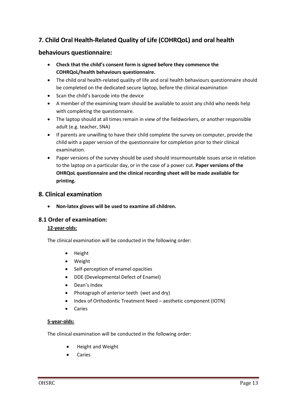# <span id="page-12-0"></span>**7. Child Oral Health-Related Quality of Life (COHRQoL) and oral health**

## **behaviours questionnaire:**

- **Check that the child's consent form is signed before they commence the COHRQoL/health behaviours questionnaire.**
- The child oral health-related quality of life and oral health behaviours questionnaire should be completed on the dedicated secure laptop, before the clinical examination
- Scan the child's barcode into the device
- A member of the examining team should be available to assist any child who needs help with completing the questionnaire.
- The laptop should at all times remain in view of the fieldworkers, or another responsible adult (e.g. teacher, SNA)
- If parents are unwilling to have their child complete the survey on computer, provide the child with a paper version of the questionnaire for completion prior to their clinical examination.
- Paper versions of the survey should be used should insurmountable issues arise in relation to the laptop on a particular day, or in the case of a power cut. **Paper versions of the OHRQoL questionnaire and the clinical recording sheet will be made available for printing.**

# <span id="page-12-1"></span>**8. Clinical examination**

**Non-latex gloves will be used to examine all children.**

#### <span id="page-12-2"></span>**8.1 Order of examination:**

#### **12-year-olds:**

The clinical examination will be conducted in the following order:

- Height
- Weight
- Self-perception of enamel opacities
- DDE (Developmental Defect of Enamel)
- Dean's Index
- Photograph of anterior teeth (wet and dry)
- Index of Orthodontic Treatment Need aesthetic component (IOTN)
- Caries

#### **5-year-olds:**

The clinical examination will be conducted in the following order:

- Height and Weight
- Caries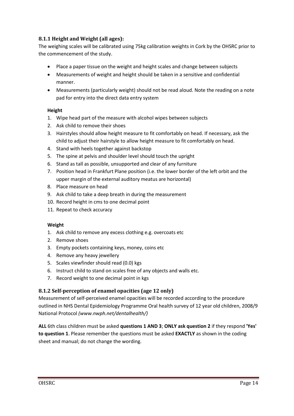## <span id="page-13-0"></span>**8.1.1 Height and Weight (all ages):**

The weighing scales will be calibrated using 75kg calibration weights in Cork by the OHSRC prior to the commencement of the study.

- Place a paper tissue on the weight and height scales and change between subjects
- Measurements of weight and height should be taken in a sensitive and confidential manner.
- Measurements (particularly weight) should not be read aloud. Note the reading on a note pad for entry into the direct data entry system

#### **Height**

- 1. Wipe head part of the measure with alcohol wipes between subjects
- 2. Ask child to remove their shoes
- 3. Hairstyles should allow height measure to fit comfortably on head. If necessary, ask the child to adjust their hairstyle to allow height measure to fit comfortably on head.
- 4. Stand with heels together against backstop
- 5. The spine at pelvis and shoulder level should touch the upright
- 6. Stand as tall as possible, unsupported and clear of any furniture
- 7. Position head in Frankfurt Plane position (i.e. the lower border of the left orbit and the upper margin of the external auditory meatus are horizontal)
- 8. Place measure on head
- 9. Ask child to take a deep breath in during the measurement
- 10. Record height in cms to one decimal point
- 11. Repeat to check accuracy

#### **Weight**

- 1. Ask child to remove any excess clothing e.g. overcoats etc
- 2. Remove shoes
- 3. Empty pockets containing keys, money, coins etc
- 4. Remove any heavy jewellery
- 5. Scales viewfinder should read (0.0) kgs
- 6. Instruct child to stand on scales free of any objects and walls etc.
- 7. Record weight to one decimal point in kgs

#### <span id="page-13-1"></span>**8.1.2 Self-perception of enamel opacities (age 12 only)**

Measurement of self-perceived enamel opacities will be recorded according to the procedure outlined in NHS Dental Epidemiology Programme Oral health survey of 12 year old children, 2008/9 National Protocol *(www.nwph.net/dentalhealth/)*

**ALL** 6th class children must be asked **questions 1 AND 3**; **ONLY ask question 2** if they respond **'Yes' to question 1**. Please remember the questions must be asked **EXACTLY** as shown in the coding sheet and manual; do not change the wording.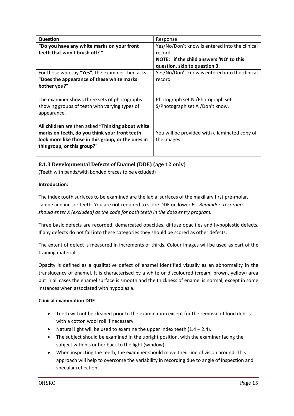| <b>Question</b>                                    | Response                                       |
|----------------------------------------------------|------------------------------------------------|
| "Do you have any white marks on your front         | Yes/No/Don't know is entered into the clinical |
| teeth that won't brush off? "                      | record                                         |
|                                                    | NOTE: if the child answers 'NO' to this        |
|                                                    | question, skip to question 3.                  |
| For those who say "Yes", the examiner then asks:   | Yes/No/Don't know is entered into the clinical |
| "Does the appearance of these white marks          | record                                         |
| bother you?"                                       |                                                |
|                                                    |                                                |
| The examiner shows three sets of photographs       | Photograph set N / Photograph set              |
| showing groups of teeth with varying types of      | S/Photograph set A /Don't know.                |
| appearance.                                        |                                                |
|                                                    |                                                |
| All children are then asked "Thinking about white  |                                                |
| marks on teeth, do you think your front teeth      | You will be provided with a laminated copy of  |
| look more like those in this group, or the ones in | the images.                                    |
| this group, or this group?"                        |                                                |
|                                                    |                                                |

## <span id="page-14-0"></span>**8.1.3 Developmental Defects of Enamel (DDE) (age 12 only)**

(Teeth with bands/with bonded braces to be excluded)

#### **Introduction:**

The index tooth surfaces to be examined are the labial surfaces of the maxillary first pre-molar, canine and incisor teeth. You are **not** required to score DDE on lower 6s. *Reminder: recorders should enter X (excluded) as the code for both teeth in the data entry program.*

Three basic defects are recorded, demarcated opacities, diffuse opacities and hypoplastic defects. If any defects do not fall into these categories they should be scored as other defects.

The extent of defect is measured in increments of thirds. Colour images will be used as part of the training material.

Opacity is defined as a qualitative defect of enamel identified visually as an abnormality in the translucency of enamel. It is characterised by a white or discoloured (cream, brown, yellow) area but in all cases the enamel surface is smooth and the thickness of enamel is normal, except in some instances when associated with hypoplasia.

#### **Clinical examination DDE**

- Teeth will not be cleaned prior to the examination except for the removal of food debris with a cotton wool roll if necessary.
- Natural light will be used to examine the upper index teeth  $(1.4 2.4)$ .
- The subject should be examined in the upright position, with the examiner facing the subject with his or her back to the light (window).
- When inspecting the teeth, the examiner should move their line of vision around. This approach will help to overcome the variability in recording due to angle of inspection and specular reflection.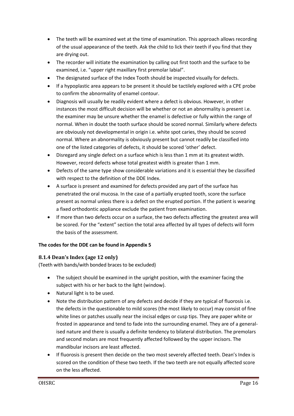- The teeth will be examined wet at the time of examination. This approach allows recording of the usual appearance of the teeth. Ask the child to lick their teeth if you find that they are drying out.
- The recorder will initiate the examination by calling out first tooth and the surface to be examined, i.e. "upper right maxillary first premolar labial".
- The designated surface of the Index Tooth should be inspected visually for defects.
- If a hypoplastic area appears to be present it should be tactilely explored with a CPE probe to confirm the abnormality of enamel contour.
- Diagnosis will usually be readily evident where a defect is obvious. However, in other instances the most difficult decision will be whether or not an abnormality is present i.e. the examiner may be unsure whether the enamel is defective or fully within the range of normal. When in doubt the tooth surface should be scored normal. Similarly where defects are obviously not developmental in origin i.e. white spot caries, they should be scored normal. Where an abnormality is obviously present but cannot readily be classified into one of the listed categories of defects, it should be scored 'other' defect.
- Disregard any single defect on a surface which is less than 1 mm at its greatest width. However, record defects whose total greatest width is greater than 1 mm.
- Defects of the same type show considerable variations and it is essential they be classified with respect to the definition of the DDE Index.
- A surface is present and examined for defects provided any part of the surface has penetrated the oral mucosa. In the case of a partially erupted tooth, score the surface present as normal unless there is a defect on the erupted portion. If the patient is wearing a fixed orthodontic appliance exclude the patient from examination.
- If more than two defects occur on a surface, the two defects affecting the greatest area will be scored. For the "extent" section the total area affected by all types of defects will form the basis of the assessment.

#### **The codes for the DDE can be found in Appendix 5**

#### <span id="page-15-0"></span>**8.1.4 Dean's Index (age 12 only)**

(Teeth with bands/with bonded braces to be excluded)

- The subject should be examined in the upright position, with the examiner facing the subject with his or her back to the light (window).
- Natural light is to be used.
- Note the distribution pattern of any defects and decide if they are typical of fluorosis i.e. the defects in the questionable to mild scores (the most likely to occur) may consist of fine white lines or patches usually near the incisal edges or cusp tips. They are paper white or frosted in appearance and tend to fade into the surrounding enamel. They are of a generalised nature and there is usually a definite tendency to bilateral distribution. The premolars and second molars are most frequently affected followed by the upper incisors. The mandibular incisors are least affected.
- If fluorosis is present then decide on the two most severely affected teeth. Dean's Index is scored on the condition of these two teeth. If the two teeth are not equally affected score on the less affected.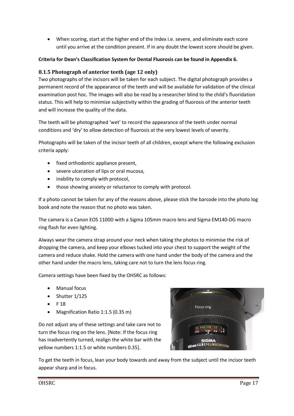When scoring, start at the higher end of the Index i.e. severe, and eliminate each score until you arrive at the condition present. If in any doubt the lowest score should be given.

#### **Criteria for Dean's Classification System for Dental Fluorosis can be found in Appendix 6.**

#### <span id="page-16-0"></span>**8.1.5 Photograph of anterior teeth (age 12 only)**

Two photographs of the incisors will be taken for each subject. The digital photograph provides a permanent record of the appearance of the teeth and will be available for validation of the clinical examination post hoc. The images will also be read by a researcher blind to the child's fluoridation status. This will help to minimize subjectivity within the grading of fluorosis of the anterior teeth and will increase the quality of the data.

The teeth will be photographed 'wet' to record the appearance of the teeth under normal conditions and 'dry' to allow detection of fluorosis at the very lowest levels of severity.

Photographs will be taken of the incisor teeth of all children, except where the following exclusion criteria apply:

- fixed orthodontic appliance present,
- severe ulceration of lips or oral mucosa,
- inability to comply with protocol,
- those showing anxiety or reluctance to comply with protocol.

If a photo cannot be taken for any of the reasons above, please stick the barcode into the photo log book and note the reason that no photo was taken.

The camera is a Canon EOS 1100D with a Sigma 105mm macro lens and Sigma EM140-DG macro ring flash for even lighting.

Always wear the camera strap around your neck when taking the photos to minimise the risk of dropping the camera, and keep your elbows tucked into your chest to support the weight of the camera and reduce shake. Hold the camera with one hand under the body of the camera and the other hand under the macro lens, taking care not to turn the lens focus ring.

Camera settings have been fixed by the OHSRC as follows:

- Manual focus
- Shutter 1/125
- F 18
- Magnification Ratio 1:1.5 (0.35 m)

Do not adjust any of these settings and take care not to turn the focus ring on the lens. [Note: If the focus ring has inadvertently turned, realign the white bar with the yellow numbers 1:1.5 or white numbers 0.35].



To get the teeth in focus, lean your body towards and away from the subject until the incisor teeth appear sharp and in focus.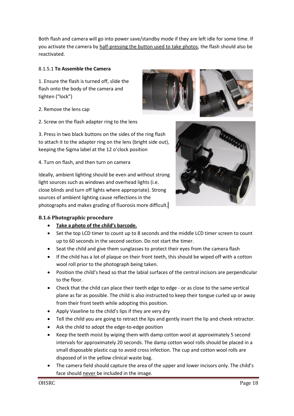Both flash and camera will go into power save/standby mode if they are left idle for some time. If you activate the camera by half-pressing the button used to take photos, the flash should also be reactivated.

#### 8.1.5.1 **To Assemble the Camera**

1. Ensure the flash is turned off, slide the flash onto the body of the camera and tighten ("lock")

- 2. Remove the lens cap
- 2. Screw on the flash adapter ring to the lens

3. Press in two black buttons on the sides of the ring flash to attach it to the adapter ring on the lens (bright side out), keeping the Sigma label at the 12 o'clock position

4. Turn on flash, and then turn on camera

Ideally, ambient lighting should be even and without strong light sources such as windows and overhead lights (i.e. close blinds and turn off lights where appropriate). Strong sources of ambient lighting cause reflections in the photographs and makes grading of fluorosis more difficult.





#### <span id="page-17-0"></span>**8.1.6 Photographic procedure**

- **Take a photo of the child's barcode.**
- Set the top LCD timer to count up to 8 seconds and the middle LCD timer screen to count up to 60 seconds in the second section. Do not start the timer.
- Seat the child and give them sunglasses to protect their eyes from the camera flash
- If the child has a lot of plaque on their front teeth, this should be wiped off with a cotton wool roll prior to the photograph being taken.
- Position the child's head so that the labial surfaces of the central incisors are perpendicular to the floor.
- Check that the child can place their teeth edge to edge or as close to the same vertical plane as far as possible. The child is also instructed to keep their tongue curled up or away from their front teeth while adopting this position.
- Apply Vaseline to the child's lips if they are very dry
- Tell the child you are going to retract the lips and gently insert the lip and cheek retractor.
- Ask the child to adopt the edge-to-edge position
- Keep the teeth moist by wiping them with damp cotton wool at approximately 5 second intervals for approximately 20 seconds. The damp cotton wool rolls should be placed in a small disposable plastic cup to avoid cross infection. The cup and cotton wool rolls are disposed of in the yellow clinical waste bag.
- The camera field should capture the area of the upper and lower incisors only. The child's face should never be included in the image.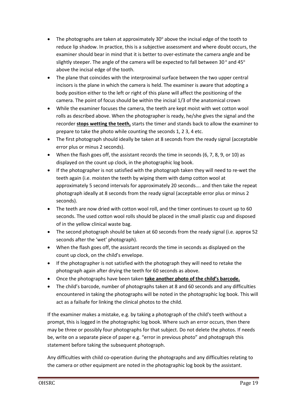- The photographs are taken at approximately 30 $\degree$  above the incisal edge of the tooth to reduce lip shadow. In practice, this is a subjective assessment and where doubt occurs, the examiner should bear in mind that it is better to over-estimate the camera angle and be slightly steeper. The angle of the camera will be expected to fall between 30 $^{\circ}$  and 45 $^{\circ}$ above the incisal edge of the tooth.
- The plane that coincides with the interproximal surface between the two upper central incisors is the plane in which the camera is held. The examiner is aware that adopting a body position either to the left or right of this plane will affect the positioning of the camera. The point of focus should be within the incisal 1/3 of the anatomical crown
- While the examiner focuses the camera, the teeth are kept moist with wet cotton wool rolls as described above. When the photographer is ready, he/she gives the signal and the recorder **stops wetting the teeth,** starts the timer and stands back to allow the examiner to prepare to take the photo while counting the seconds 1, 2 3, 4 etc.
- The first photograph should ideally be taken at 8 seconds from the ready signal (acceptable error plus or minus 2 seconds).
- When the flash goes off, the assistant records the time in seconds (6, 7, 8, 9, or 10) as displayed on the count up clock, in the photographic log book.
- If the photographer is not satisfied with the photograph taken they will need to re-wet the teeth again (i.e. moisten the teeth by wiping them with damp cotton wool at approximately 5 second intervals for approximately 20 seconds…. and then take the repeat photograph ideally at 8 seconds from the ready signal (acceptable error plus or minus 2 seconds).
- The teeth are now dried with cotton wool roll, and the timer continues to count up to 60 seconds. The used cotton wool rolls should be placed in the small plastic cup and disposed of in the yellow clinical waste bag.
- The second photograph should be taken at 60 seconds from the ready signal (i.e. approx 52 seconds after the 'wet' photograph).
- When the flash goes off, the assistant records the time in seconds as displayed on the count up clock, on the child's envelope.
- If the photographer is not satisfied with the photograph they will need to retake the photograph again after drying the teeth for 60 seconds as above.
- Once the photographs have been taken **take another photo of the child's barcode.**
- The child's barcode, number of photographs taken at 8 and 60 seconds and any difficulties encountered in taking the photographs will be noted in the photographic log book. This will act as a failsafe for linking the clinical photos to the child.

If the examiner makes a mistake, e.g. by taking a photograph of the child's teeth without a prompt, this is logged in the photographic log book. Where such an error occurs, then there may be three or possibly four photographs for that subject. Do not delete the photos. If needs be, write on a separate piece of paper e.g. "error in previous photo" and photograph this statement before taking the subsequent photograph.

Any difficulties with child co-operation during the photographs and any difficulties relating to the camera or other equipment are noted in the photographic log book by the assistant.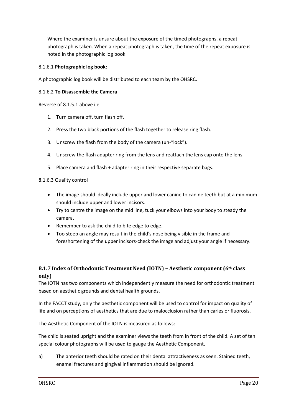Where the examiner is unsure about the exposure of the timed photographs, a repeat photograph is taken. When a repeat photograph is taken, the time of the repeat exposure is noted in the photographic log book.

#### 8.1.6.1 **Photographic log book:**

A photographic log book will be distributed to each team by the OHSRC.

#### 8.1.6.2 **To Disassemble the Camera**

Reverse of 8.1.5.1 above i.e.

- 1. Turn camera off, turn flash off.
- 2. Press the two black portions of the flash together to release ring flash.
- 3. Unscrew the flash from the body of the camera (un-"lock").
- 4. Unscrew the flash adapter ring from the lens and reattach the lens cap onto the lens.
- 5. Place camera and flash + adapter ring in their respective separate bags.

#### 8.1.6.3 Quality control

- The image should ideally include upper and lower canine to canine teeth but at a minimum should include upper and lower incisors.
- Try to centre the image on the mid line, tuck your elbows into your body to steady the camera.
- Remember to ask the child to bite edge to edge.
- Too steep an angle may result in the child's nose being visible in the frame and foreshortening of the upper incisors-check the image and adjust your angle if necessary.

## <span id="page-19-0"></span>**8.1.7 Index of Orthodontic Treatment Need (IOTN) – Aesthetic component (6th class only)**

The IOTN has two components which independently measure the need for orthodontic treatment based on aesthetic grounds and dental health grounds.

In the FACCT study, only the aesthetic component will be used to control for impact on quality of life and on perceptions of aesthetics that are due to malocclusion rather than caries or fluorosis.

The Aesthetic Component of the IOTN is measured as follows:

The child is seated upright and the examiner views the teeth from in front of the child. A set of ten special colour photographs will be used to gauge the Aesthetic Component.

a) The anterior teeth should be rated on their dental attractiveness as seen. Stained teeth, enamel fractures and gingival inflammation should be ignored.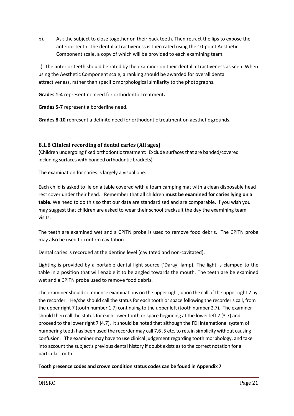b). Ask the subject to close together on their back teeth. Then retract the lips to expose the anterior teeth. The dental attractiveness is then rated using the 10-point Aesthetic Component scale, a copy of which will be provided to each examining team.

c). The anterior teeth should be rated by the examiner on their dental attractiveness as seen. When using the Aesthetic Component scale, a ranking should be awarded for overall dental attractiveness, rather than specific morphological similarity to the photographs.

**Grades 1-4** represent no need for orthodontic treatment**.** 

**Grades 5-7** represent a borderline need.

**Grades 8-10** represent a definite need for orthodontic treatment on aesthetic grounds.

#### <span id="page-20-0"></span>**8.1.8 Clinical recording of dental caries (All ages)**

(Children undergoing fixed orthodontic treatment: Exclude surfaces that are banded/covered including surfaces with bonded orthodontic brackets)

The examination for caries is largely a visual one.

Each child is asked to lie on a table covered with a foam camping mat with a clean disposable head rest cover under their head. Remember that all children **must be examined for caries lying on a table**. We need to do this so that our data are standardised and are comparable. If you wish you may suggest that children are asked to wear their school tracksuit the day the examining team visits.

The teeth are examined wet and a CPITN probe is used to remove food debris. The CPITN probe may also be used to confirm cavitation.

Dental caries is recorded at the dentine level (cavitated and non-cavitated).

Lighting is provided by a portable dental light source ('Daray' lamp). The light is clamped to the table in a position that will enable it to be angled towards the mouth. The teeth are be examined wet and a CPITN probe used to remove food debris.

The examiner should commence examinations on the upper right, upon the call of the upper right 7 by the recorder. He/she should call the status for each tooth or space following the recorder's call, from the upper right 7 (tooth number 1.7) continuing to the upper left (tooth number 2.7). The examiner should then call the status for each lower tooth or space beginning at the lower left 7 (3.7) and proceed to the lower right 7 (4.7). It should be noted that although the FDI international system of numbering teeth has been used the recorder may call 7,6 ,5 etc. to retain simplicity without causing confusion. The examiner may have to use clinical judgement regarding tooth morphology, and take into account the subject's previous dental history if doubt exists as to the correct notation for a particular tooth.

**Tooth presence codes and crown condition status codes can be found in Appendix 7**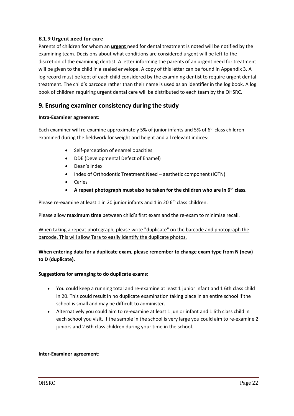#### <span id="page-21-0"></span>**8.1.9 Urgent need for care**

Parents of children for whom an **urgent** need for dental treatment is noted will be notified by the examining team. Decisions about what conditions are considered urgent will be left to the discretion of the examining dentist. A letter informing the parents of an urgent need for treatment will be given to the child in a sealed envelope. A copy of this letter can be found in Appendix 3. A log record must be kept of each child considered by the examining dentist to require urgent dental treatment. The child's barcode rather than their name is used as an identifier in the log book. A log book of children requiring urgent dental care will be distributed to each team by the OHSRC.

# <span id="page-21-1"></span>**9. Ensuring examiner consistency during the study**

#### **Intra-Examiner agreement:**

Each examiner will re-examine approximately 5% of junior infants and 5% of  $6<sup>th</sup>$  class children examined during the fieldwork for weight and height and all relevant indices:

- Self-perception of enamel opacities
- DDE (Developmental Defect of Enamel)
- Dean's Index
- Index of Orthodontic Treatment Need aesthetic component (IOTN)
- Caries
- **A repeat photograph must also be taken for the children who are in 6th class.**

Please re-examine at least 1 in 20 junior infants and 1 in 20 6<sup>th</sup> class children.

Please allow **maximum time** between child's first exam and the re-exam to minimise recall.

When taking a repeat photograph, please write "duplicate" on the barcode and photograph the barcode. This will allow Tara to easily identify the duplicate photos.

#### **When entering data for a duplicate exam, please remember to change exam type from N (new) to D (duplicate).**

#### **Suggestions for arranging to do duplicate exams:**

- You could keep a running total and re-examine at least 1 junior infant and 1 6th class child in 20. This could result in no duplicate examination taking place in an entire school if the school is small and may be difficult to administer.
- Alternatively you could aim to re-examine at least 1 junior infant and 1 6th class child in each school you visit. If the sample in the school is very large you could aim to re-examine 2 juniors and 2 6th class children during your time in the school.

#### **Inter-Examiner agreement:**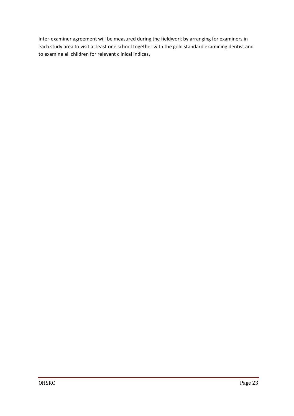Inter-examiner agreement will be measured during the fieldwork by arranging for examiners in each study area to visit at least one school together with the gold standard examining dentist and to examine all children for relevant clinical indices.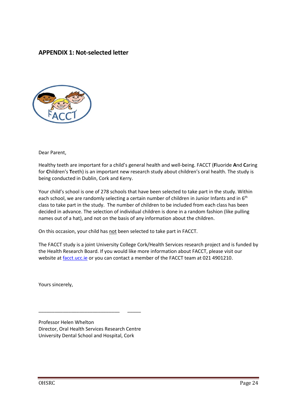## <span id="page-23-0"></span>**APPENDIX 1: Not-selected letter**



Dear Parent,

Healthy teeth are important for a child's general health and well-being. FACCT (**F**luoride **A**nd **C**aring for **C**hildren's **T**eeth) is an important new research study about children's oral health. The study is being conducted in Dublin, Cork and Kerry.

Your child's school is one of 278 schools that have been selected to take part in the study. Within each school, we are randomly selecting a certain number of children in Junior Infants and in 6<sup>th</sup> class to take part in the study. The number of children to be included from each class has been decided in advance. The selection of individual children is done in a random fashion (like pulling names out of a hat), and not on the basis of any information about the children.

On this occasion, your child has not been selected to take part in FACCT.

The FACCT study is a joint University College Cork/Health Services research project and is funded by the Health Research Board. If you would like more information about FACCT, please visit our website at [facct.ucc.ie](http://facct.ucc.ie/) or you can contact a member of the FACCT team at 021 4901210.

Yours sincerely,

Professor Helen Whelton Director, Oral Health Services Research Centre University Dental School and Hospital, Cork

\_\_\_\_\_\_\_\_\_\_\_\_\_\_\_\_\_\_\_\_\_\_\_\_\_\_\_\_\_\_ \_\_\_\_\_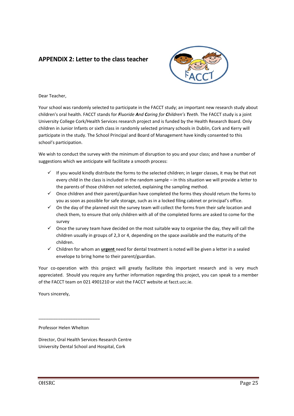# <span id="page-24-0"></span>**APPENDIX 2: Letter to the class teacher**



Dear Teacher,

Your school was randomly selected to participate in the FACCT study; an important new research study about children's oral health. FACCT stands for *Fluoride And Caring for Children's Teeth.* The FACCT study is a joint University College Cork/Health Services research project and is funded by the Health Research Board. Only children in Junior Infants or sixth class in randomly selected primary schools in Dublin, Cork and Kerry will participate in the study. The School Principal and Board of Management have kindly consented to this school's participation.

We wish to conduct the survey with the minimum of disruption to you and your class; and have a number of suggestions which we anticipate will facilitate a smooth process:

- $\checkmark$  If you would kindly distribute the forms to the selected children; in larger classes, it may be that not every child in the class is included in the random sample – in this situation we will provide a letter to the parents of those children not selected, explaining the sampling method.
- $\checkmark$  Once children and their parent/guardian have completed the forms they should return the forms to you as soon as possible for safe storage, such as in a locked filing cabinet or principal's office.
- $\checkmark$  On the day of the planned visit the survey team will collect the forms from their safe location and check them, to ensure that only children with all of the completed forms are asked to come for the survey
- $\checkmark$  Once the survey team have decided on the most suitable way to organise the day, they will call the children usually in groups of 2,3 or 4, depending on the space available and the maturity of the children.
- Children for whom an **urgent** need for dental treatment is noted will be given a letter in a sealed envelope to bring home to their parent/guardian.

Your co-operation with this project will greatly facilitate this important research and is very much appreciated. Should you require any further information regarding this project, you can speak to a member of the FACCT team on 021 4901210 or visit the FACCT website at facct.ucc.ie.

Yours sincerely,

Professor Helen Whelton

\_\_\_\_\_\_\_\_\_\_\_\_\_\_\_\_\_\_\_\_\_\_\_\_\_

Director, Oral Health Services Research Centre University Dental School and Hospital, Cork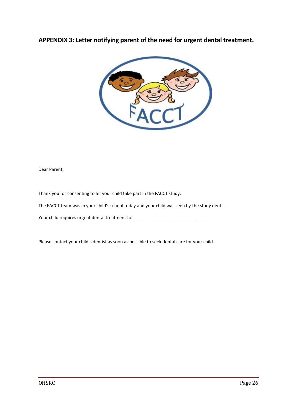# <span id="page-25-0"></span>**APPENDIX 3: Letter notifying parent of the need for urgent dental treatment.**



Dear Parent,

Thank you for consenting to let your child take part in the FACCT study.

The FACCT team was in your child's school today and your child was seen by the study dentist.

Your child requires urgent dental treatment for \_\_\_\_\_\_\_\_\_\_\_\_\_\_\_\_\_\_\_\_\_\_\_\_\_\_\_\_\_\_\_\_

Please contact your child's dentist as soon as possible to seek dental care for your child.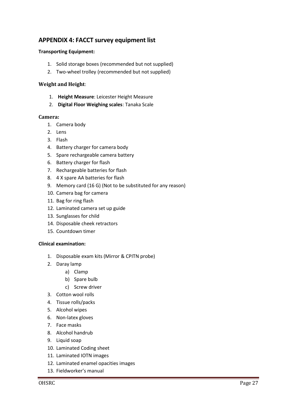# <span id="page-26-0"></span>**APPENDIX 4: FACCT survey equipment list**

#### **Transporting Equipment:**

- 1. Solid storage boxes (recommended but not supplied)
- 2. Two-wheel trolley (recommended but not supplied)

#### **Weight and Height**:

- 1. **Height Measure**: Leicester Height Measure
- 2. **Digital Floor Weighing scales**: Tanaka Scale

#### **Camera:**

- 1. Camera body
- 2. Lens
- 3. Flash
- 4. Battery charger for camera body
- 5. Spare rechargeable camera battery
- 6. Battery charger for flash
- 7. Rechargeable batteries for flash
- 8. 4 X spare AA batteries for flash
- 9. Memory card (16 G) (Not to be substituted for any reason)
- 10. Camera bag for camera
- 11. Bag for ring flash
- 12. Laminated camera set up guide
- 13. Sunglasses for child
- 14. Disposable cheek retractors
- 15. Countdown timer

#### **Clinical examination:**

- 1. Disposable exam kits (Mirror & CPITN probe)
- 2. Daray lamp
	- a) Clamp
	- b) Spare bulb
	- c) Screw driver
- 3. Cotton wool rolls
- 4. Tissue rolls/packs
- 5. Alcohol wipes
- 6. Non-latex gloves
- 7. Face masks
- 8. Alcohol handrub
- 9. Liquid soap
- 10. Laminated Coding sheet
- 11. Laminated IOTN images
- 12. Laminated enamel opacities images
- 13. Fieldworker's manual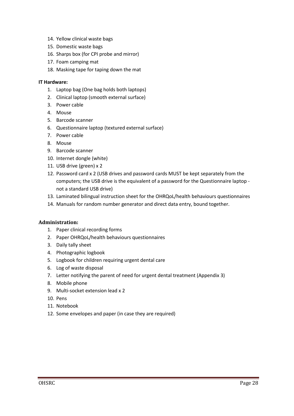- 14. Yellow clinical waste bags
- 15. Domestic waste bags
- 16. Sharps box (for CPI probe and mirror)
- 17. Foam camping mat
- 18. Masking tape for taping down the mat

#### **IT Hardware:**

- 1. Laptop bag (One bag holds both laptops)
- 2. Clinical laptop (smooth external surface)
- 3. Power cable
- 4. Mouse
- 5. Barcode scanner
- 6. Questionnaire laptop (textured external surface)
- 7. Power cable
- 8. Mouse
- 9. Barcode scanner
- 10. Internet dongle (white)
- 11. USB drive (green) x 2
- 12. Password card x 2 (USB drives and password cards MUST be kept separately from the computers; the USB drive is the equivalent of a password for the Questionnaire laptop not a standard USB drive)
- 13. Laminated bilingual instruction sheet for the OHRQoL/health behaviours questionnaires
- 14. Manuals for random number generator and direct data entry, bound together.

#### **Administration:**

- 1. Paper clinical recording forms
- 2. Paper OHRQoL/health behaviours questionnaires
- 3. Daily tally sheet
- 4. Photographic logbook
- 5. Logbook for children requiring urgent dental care
- 6. Log of waste disposal
- 7. Letter notifying the parent of need for urgent dental treatment (Appendix 3)
- 8. Mobile phone
- 9. Multi-socket extension lead x 2
- 10. Pens
- 11. Notebook
- 12. Some envelopes and paper (in case they are required)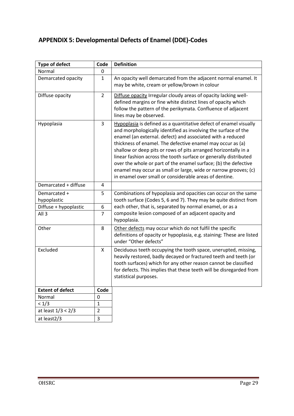# <span id="page-28-0"></span>**APPENDIX 5: Developmental Defects of Enamel (DDE)-Codes**

| <b>Type of defect</b>       | Code           | <b>Definition</b>                                                                                                                                                                                                                                                                                                                                                                                                                                                                                                                                                                                      |
|-----------------------------|----------------|--------------------------------------------------------------------------------------------------------------------------------------------------------------------------------------------------------------------------------------------------------------------------------------------------------------------------------------------------------------------------------------------------------------------------------------------------------------------------------------------------------------------------------------------------------------------------------------------------------|
| Normal                      | 0              |                                                                                                                                                                                                                                                                                                                                                                                                                                                                                                                                                                                                        |
| Demarcated opacity          | $\mathbf{1}$   | An opacity well demarcated from the adjacent normal enamel. It<br>may be white, cream or yellow/brown in colour                                                                                                                                                                                                                                                                                                                                                                                                                                                                                        |
| Diffuse opacity             | $\overline{2}$ | Diffuse opacity Irregular cloudy areas of opacity lacking well-<br>defined margins or fine white distinct lines of opacity which<br>follow the pattern of the perikymata. Confluence of adjacent<br>lines may be observed.                                                                                                                                                                                                                                                                                                                                                                             |
| Hypoplasia                  | 3              | Hypoplasia is defined as a quantitative defect of enamel visually<br>and morphologically identified as involving the surface of the<br>enamel (an external. defect) and associated with a reduced<br>thickness of enamel. The defective enamel may occur as (a)<br>shallow or deep pits or rows of pits arranged horizontally in a<br>linear fashion across the tooth surface or generally distributed<br>over the whole or part of the enamel surface; (b) the defective<br>enamel may occur as small or large, wide or narrow grooves; (c)<br>in enamel over small or considerable areas of dentine. |
| Demarcated + diffuse        | 4              |                                                                                                                                                                                                                                                                                                                                                                                                                                                                                                                                                                                                        |
| Demarcated +<br>hypoplastic | 5              | Combinations of hypoplasia and opacities can occur on the same<br>tooth surface (Codes 5, 6 and 7). They may be quite distinct from                                                                                                                                                                                                                                                                                                                                                                                                                                                                    |
| Diffuse + hypoplastic       | 6              | each other, that is, separated by normal enamel, or as a                                                                                                                                                                                                                                                                                                                                                                                                                                                                                                                                               |
| All <sub>3</sub>            | $\overline{7}$ | composite lesion composed of an adjacent opacity and<br>hypoplasia.                                                                                                                                                                                                                                                                                                                                                                                                                                                                                                                                    |
| Other                       | 8              | Other defects may occur which do not fulfil the specific<br>definitions of opacity or hypoplasia, e.g. staining: These are listed<br>under "Other defects"                                                                                                                                                                                                                                                                                                                                                                                                                                             |
| Excluded                    | X              | Deciduous teeth occupying the tooth space, unerupted, missing,<br>heavily restored, badly decayed or fractured teeth and teeth (or<br>tooth surfaces) which for any other reason cannot be classified<br>for defects. This implies that these teeth will be disregarded from<br>statistical purposes.                                                                                                                                                                                                                                                                                                  |
| <b>Extent of defect</b>     | Code           |                                                                                                                                                                                                                                                                                                                                                                                                                                                                                                                                                                                                        |
| Normal                      | 0              |                                                                                                                                                                                                                                                                                                                                                                                                                                                                                                                                                                                                        |
| < 1/3                       | $\mathbf{1}$   |                                                                                                                                                                                                                                                                                                                                                                                                                                                                                                                                                                                                        |
| at least $1/3 < 2/3$        | $\overline{2}$ |                                                                                                                                                                                                                                                                                                                                                                                                                                                                                                                                                                                                        |
| at least2/3                 | 3              |                                                                                                                                                                                                                                                                                                                                                                                                                                                                                                                                                                                                        |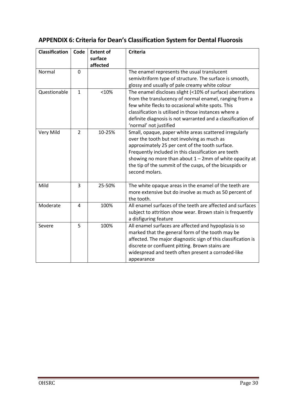# <span id="page-29-0"></span>**APPENDIX 6: Criteria for Dean's Classification System for Dental Fluorosis**

| <b>Classification</b> | Code           | <b>Extent of</b><br>surface<br>affected | <b>Criteria</b>                                                                       |
|-----------------------|----------------|-----------------------------------------|---------------------------------------------------------------------------------------|
| Normal                | $\overline{0}$ |                                         | The enamel represents the usual translucent                                           |
|                       |                |                                         | semivitriform type of structure. The surface is smooth,                               |
|                       |                |                                         | glossy and usually of pale creamy white colour                                        |
| Questionable          | $\mathbf{1}$   | < 10%                                   | The enamel discloses slight (<10% of surface) aberrations                             |
|                       |                |                                         | from the translucency of normal enamel, ranging from a                                |
|                       |                |                                         | few white flecks to occasional white spots. This                                      |
|                       |                |                                         | classification is utilised in those instances where a                                 |
|                       |                |                                         | definite diagnosis is not warranted and a classification of<br>'normal' not justified |
| Very Mild             | $\overline{2}$ | 10-25%                                  | Small, opaque, paper white areas scattered irregularly                                |
|                       |                |                                         | over the tooth but not involving as much as                                           |
|                       |                |                                         | approximately 25 per cent of the tooth surface.                                       |
|                       |                |                                         | Frequently included in this classification are teeth                                  |
|                       |                |                                         | showing no more than about $1 - 2$ mm of white opacity at                             |
|                       |                |                                         | the tip of the summit of the cusps, of the bicuspids or                               |
|                       |                |                                         | second molars.                                                                        |
| Mild                  | 3              | 25-50%                                  | The white opaque areas in the enamel of the teeth are                                 |
|                       |                |                                         | more extensive but do involve as much as 50 percent of                                |
|                       |                |                                         | the tooth.                                                                            |
| Moderate              | 4              | 100%                                    | All enamel surfaces of the teeth are affected and surfaces                            |
|                       |                |                                         | subject to attrition show wear. Brown stain is frequently                             |
|                       |                |                                         | a disfiguring feature                                                                 |
| Severe                | 5              | 100%                                    | All enamel surfaces are affected and hypoplasia is so                                 |
|                       |                |                                         | marked that the general form of the tooth may be                                      |
|                       |                |                                         | affected. The major diagnostic sign of this classification is                         |
|                       |                |                                         | discrete or confluent pitting. Brown stains are                                       |
|                       |                |                                         | widespread and teeth often present a corroded-like                                    |
|                       |                |                                         | appearance                                                                            |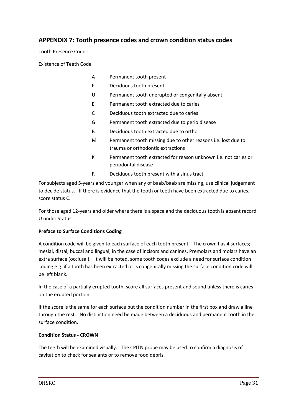# <span id="page-30-0"></span>**APPENDIX 7: Tooth presence codes and crown condition status codes**

Tooth Presence Code -

Existence of Teeth Code

- A Permanent tooth present
- P Deciduous tooth present
- U Permanent tooth unerupted or congenitally absent
- E Permanent tooth extracted due to caries
- C Deciduous tooth extracted due to caries
- G Permanent tooth extracted due to perio disease
- B Deciduous tooth extracted due to ortho
- M Permanent tooth missing due to other reasons i.e. lost due to trauma or orthodontic extractions
- K Permanent tooth extracted for reason unknown i.e. not caries or periodontal disease
- R Deciduous tooth present with a sinus tract

For subjects aged 5-years and younger when any of baab/baab are missing, use clinical judgement to decide status. If there is evidence that the tooth or teeth have been extracted due to caries, score status C.

For those aged 12-years and older where there is a space and the deciduous tooth is absent record U under Status.

#### **Preface to Surface Conditions Coding**

A condition code will be given to each surface of each tooth present. The crown has 4 surfaces; mesial, distal, buccal and lingual, in the case of incisors and canines. Premolars and molars have an extra surface (occlusal). It will be noted, some tooth codes exclude a need for surface condition coding e.g. if a tooth has been extracted or is congenitally missing the surface condition code will be left blank.

In the case of a partially erupted tooth, score all surfaces present and sound unless there is caries on the erupted portion.

If the score is the same for each surface put the condition number in the first box and draw a line through the rest. No distinction need be made between a deciduous and permanent tooth in the surface condition.

#### **Condition Status - CROWN**

The teeth will be examined visually. The CPITN probe may be used to confirm a diagnosis of cavitation to check for sealants or to remove food debris.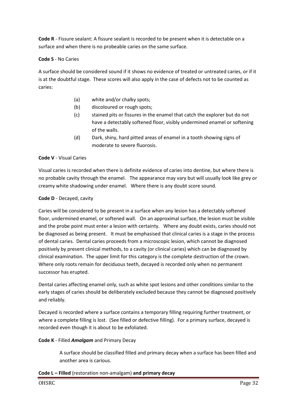**Code R** - Fissure sealant: A fissure sealant is recorded to be present when it is detectable on a surface and when there is no probeable caries on the same surface.

#### **Code S** - No Caries

A surface should be considered sound if it shows no evidence of treated or untreated caries, or if it is at the doubtful stage. These scores will also apply in the case of defects not to be counted as caries:

- (a) white and/or chalky spots;
- (b) discoloured or rough spots;
- (c) stained pits or fissures in the enamel that catch the explorer but do not have a detectably softened floor, visibly undermined enamel or softening of the walls.
- (d) Dark, shiny, hard pitted areas of enamel in a tooth showing signs of moderate to severe fluorosis.

#### **Code V** - Visual Caries

Visual caries is recorded when there is definite evidence of caries into dentine, but where there is no probable cavity through the enamel. The appearance may vary but will usually look like grey or creamy white shadowing under enamel. Where there is any doubt score sound.

#### **Code D** - Decayed, cavity

Caries will be considered to be present in a surface when any lesion has a detectably softened floor, undermined enamel, or softened wall. On an approximal surface, the lesion must be visible and the probe point must enter a lesion with certainty. Where any doubt exists, caries should not be diagnosed as being present. It must be emphasised that clinical caries is a stage in the process of dental caries. Dental caries proceeds from a microscopic lesion, which cannot be diagnosed positively by present clinical methods, to a cavity (or clinical caries) which can be diagnosed by clinical examination. The upper limit for this category is the complete destruction of the crown. Where only roots remain for deciduous teeth, decayed is recorded only when no permanent successor has erupted.

Dental caries affecting enamel only, such as white spot lesions and other conditions similar to the early stages of caries should be deliberately excluded because they cannot be diagnosed positively and reliably.

Decayed is recorded where a surface contains a temporary filling requiring further treatment, or where a complete filling is lost. (See filled or defective filling). For a primary surface, decayed is recorded even though it is about to be exfoliated.

#### **Code K** - Filled *Amalgam* and Primary Decay

A surface should be classified filled and primary decay when a surface has been filled and another area is carious.

#### **Code L – Filled** (restoration non-amalgam) **and primary decay**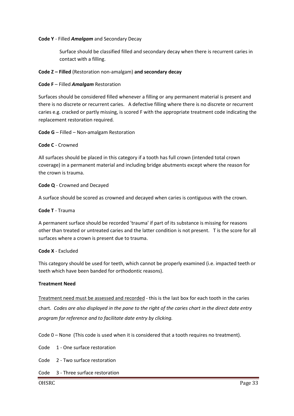#### **Code Y** - Filled *Amalgam* and Secondary Decay

Surface should be classified filled and secondary decay when there is recurrent caries in contact with a filling.

#### **Code Z – Filled** (Restoration non-amalgam) **and secondary decay**

**Code F** – Filled *Amalgam* Restoration

Surfaces should be considered filled whenever a filling or any permanent material is present and there is no discrete or recurrent caries. A defective filling where there is no discrete or recurrent caries e.g. cracked or partly missing, is scored F with the appropriate treatment code indicating the replacement restoration required*.* 

**Code G** – Filled – Non-amalgam Restoration

#### **Code C** - Crowned

All surfaces should be placed in this category if a tooth has full crown (intended total crown coverage) in a permanent material and including bridge abutments except where the reason for the crown is trauma.

**Code Q** - Crowned and Decayed

A surface should be scored as crowned and decayed when caries is contiguous with the crown.

#### **Code T** - Trauma

A permanent surface should be recorded 'trauma' if part of its substance is missing for reasons other than treated or untreated caries and the latter condition is not present. T is the score for all surfaces where a crown is present due to trauma.

#### **Code X** - Excluded

This category should be used for teeth, which cannot be properly examined (i.e. impacted teeth or teeth which have been banded for orthodontic reasons).

#### **Treatment Need**

Treatment need must be assessed and recorded - this is the last box for each tooth in the caries chart. *Codes are also displayed in the pane to the right of the caries chart in the direct date entry program for reference and to facilitate date entry by clicking.*

Code 0 – None (This code is used when it is considered that a tooth requires no treatment).

Code 1 - One surface restoration

Code 2 - Two surface restoration

Code 3 - Three surface restoration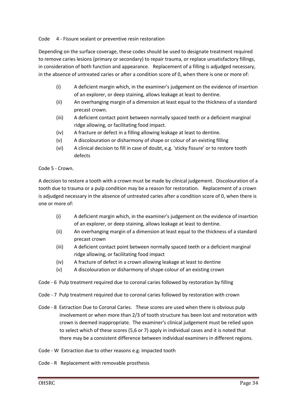#### Code 4 - Fissure sealant or preventive resin restoration

Depending on the surface coverage, these codes should be used to designate treatment required to remove caries lesions (primary or secondary) to repair trauma, or replace unsatisfactory fillings, in consideration of both function and appearance. Replacement of a filling is adjudged necessary, in the absence of untreated caries or after a condition score of 0, when there is one or more of:

- (i) A deficient margin which, in the examiner's judgement on the evidence of insertion of an explorer, or deep staining, allows leakage at least to dentine.
- (ii) An overhanging margin of a dimension at least equal to the thickness of a standard precast crown.
- (iii) A deficient contact point between normally spaced teeth or a deficient marginal ridge allowing, or facilitating food impact.
- (iv) A fracture or defect in a filling allowing leakage at least to dentine.
- (v) A discolouration or disharmony of shape or colour of an existing filling
- (vi) A clinical decision to fill in case of doubt, e.g. 'sticky fissure' or to restore tooth defects

#### Code 5 - Crown.

A decision to restore a tooth with a crown must be made by clinical judgement. Discolouration of a tooth due to trauma or a pulp condition may be a reason for restoration. Replacement of a crown is adjudged necessary in the absence of untreated caries after a condition score of 0, when there is one or more of:

- (i) A deficient margin which, in the examiner's judgement on the evidence of insertion of an explorer, or deep staining, allows leakage at least to dentine.
- (ii) An overhanging margin of a dimension at least equal to the thickness of a standard precast crown
- (iii) A deficient contact point between normally spaced teeth or a deficient marginal ridge allowing, or facilitating food impact
- (iv) A fracture of defect in a crown allowing leakage at least to dentine
- (v) A discolouration or disharmony of shape colour of an existing crown
- Code 6 Pulp treatment required due to coronal caries followed by restoration by filling
- Code 7 Pulp treatment required due to coronal caries followed by restoration with crown
- Code 8 Extraction Due to Coronal Caries. These scores are used when there is obvious pulp involvement or when more than 2/3 of tooth structure has been lost and restoration with crown is deemed inappropriate. The examiner's clinical judgement must be relied upon to select which of these scores (5,6 or 7) apply in individual cases and it is noted that there may be a consistent difference between individual examiners in different regions.
- Code W Extraction due to other reasons e.g. impacted tooth
- Code R Replacement with removable prosthesis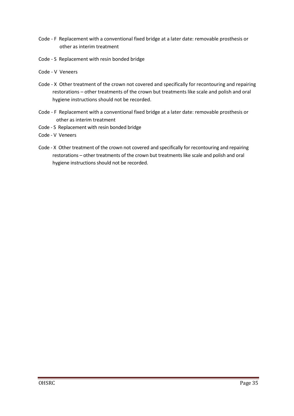- Code F Replacement with a conventional fixed bridge at a later date: removable prosthesis or other as interim treatment
- Code S Replacement with resin bonded bridge
- Code V Veneers
- Code XOther treatment of the crown not covered and specifically for recontouring and repairing restorations – other treatments of the crown but treatments like scale and polish and oral hygiene instructions should not be recorded.
- Code F Replacement with a conventional fixed bridge at a later date: removable prosthesis or other as interim treatment
- Code S Replacement with resin bonded bridge
- Code V Veneers
- Code XOther treatment of the crown not covered and specifically for recontouring and repairing restorations – other treatments of the crown but treatments like scale and polish and oral hygiene instructions should not be recorded.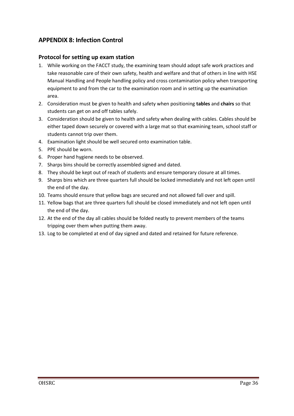# <span id="page-35-0"></span>**APPENDIX 8: Infection Control**

## **Protocol for setting up exam station**

- 1. While working on the FACCT study, the examining team should adopt safe work practices and take reasonable care of their own safety, health and welfare and that of others in line with HSE Manual Handling and People handling policy and cross contamination policy when transporting equipment to and from the car to the examination room and in setting up the examination area.
- 2. Consideration must be given to health and safety when positioning **tables** and **chairs** so that students can get on and off tables safely.
- 3. Consideration should be given to health and safety when dealing with cables. Cables should be either taped down securely or covered with a large mat so that examining team, school staff or students cannot trip over them.
- 4. Examination light should be well secured onto examination table.
- 5. PPE should be worn.
- 6. Proper hand hygiene needs to be observed.
- 7. Sharps bins should be correctly assembled signed and dated.
- 8. They should be kept out of reach of students and ensure temporary closure at all times.
- 9. Sharps bins which are three quarters full should be locked immediately and not left open until the end of the day.
- 10. Teams should ensure that yellow bags are secured and not allowed fall over and spill.
- 11. Yellow bags that are three quarters full should be closed immediately and not left open until the end of the day.
- 12. At the end of the day all cables should be folded neatly to prevent members of the teams tripping over them when putting them away.
- 13. Log to be completed at end of day signed and dated and retained for future reference.